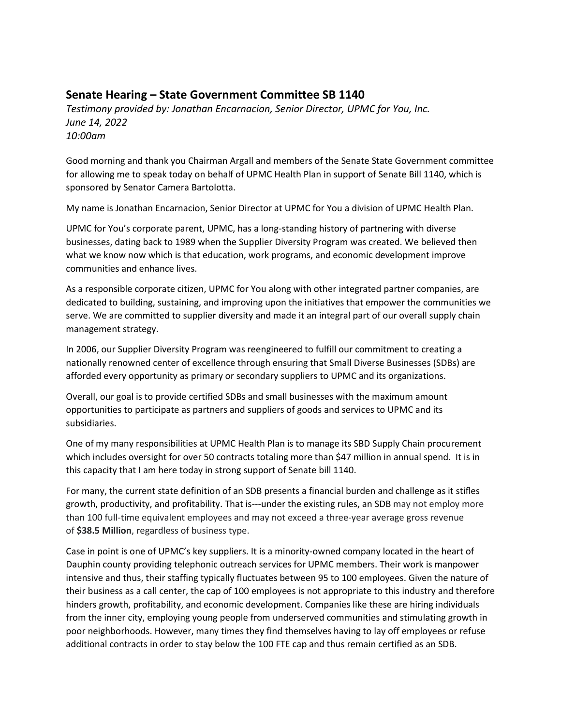## **Senate Hearing – State Government Committee SB 1140**

*Testimony provided by: Jonathan Encarnacion, Senior Director, UPMC for You, Inc. June 14, 2022 10:00am*

Good morning and thank you Chairman Argall and members of the Senate State Government committee for allowing me to speak today on behalf of UPMC Health Plan in support of Senate Bill 1140, which is sponsored by Senator Camera Bartolotta.

My name is Jonathan Encarnacion, Senior Director at UPMC for You a division of UPMC Health Plan.

UPMC for You's corporate parent, UPMC, has a long-standing history of partnering with diverse businesses, dating back to 1989 when the Supplier Diversity Program was created. We believed then what we know now which is that education, work programs, and economic development improve communities and enhance lives.

As a responsible corporate citizen, UPMC for You along with other integrated partner companies, are dedicated to building, sustaining, and improving upon the initiatives that empower the communities we serve. We are committed to supplier diversity and made it an integral part of our overall supply chain management strategy.

In 2006, our Supplier Diversity Program was reengineered to fulfill our commitment to creating a nationally renowned center of excellence through ensuring that Small Diverse Businesses (SDBs) are afforded every opportunity as primary or secondary suppliers to UPMC and its organizations.

Overall, our goal is to provide certified SDBs and small businesses with the maximum amount opportunities to participate as partners and suppliers of goods and services to UPMC and its subsidiaries.

One of my many responsibilities at UPMC Health Plan is to manage its SBD Supply Chain procurement which includes oversight for over 50 contracts totaling more than \$47 million in annual spend. It is in this capacity that I am here today in strong support of Senate bill 1140.

For many, the current state definition of an SDB presents a financial burden and challenge as it stifles growth, productivity, and profitability. That is---under the existing rules, an SDB may not employ more than 100 full-time equivalent employees and may not exceed a three-year average gross revenue of **\$38.5 Million**, regardless of business type.

Case in point is one of UPMC's key suppliers. It is a minority-owned company located in the heart of Dauphin county providing telephonic outreach services for UPMC members. Their work is manpower intensive and thus, their staffing typically fluctuates between 95 to 100 employees. Given the nature of their business as a call center, the cap of 100 employees is not appropriate to this industry and therefore hinders growth, profitability, and economic development. Companies like these are hiring individuals from the inner city, employing young people from underserved communities and stimulating growth in poor neighborhoods. However, many times they find themselves having to lay off employees or refuse additional contracts in order to stay below the 100 FTE cap and thus remain certified as an SDB.